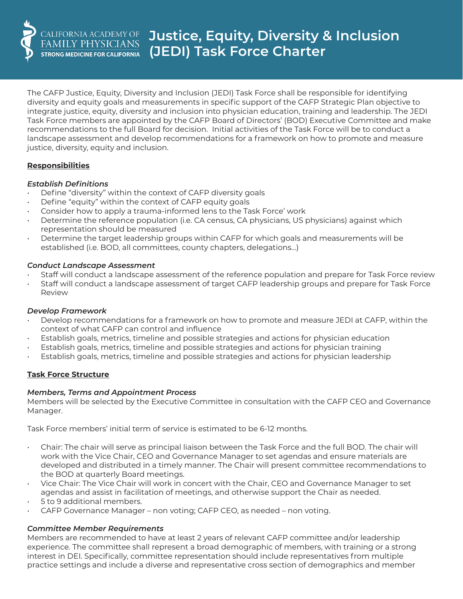

The CAFP Justice, Equity, Diversity and Inclusion (JEDI) Task Force shall be responsible for identifying diversity and equity goals and measurements in specific support of the CAFP Strategic Plan objective to integrate justice, equity, diversity and inclusion into physician education, training and leadership. The JEDI Task Force members are appointed by the CAFP Board of Directors' (BOD) Executive Committee and make recommendations to the full Board for decision. Initial activities of the Task Force will be to conduct a landscape assessment and develop recommendations for a framework on how to promote and measure justice, diversity, equity and inclusion.

### **Responsibilities**

### *Establish Definitions*

- Define "diversity" within the context of CAFP diversity goals
- Define "equity" within the context of CAFP equity goals
- Consider how to apply a trauma-informed lens to the Task Force' work
- Determine the reference population (i.e. CA census, CA physicians, US physicians) against which representation should be measured
- Determine the target leadership groups within CAFP for which goals and measurements will be established (i.e. BOD, all committees, county chapters, delegations…)

### *Conduct Landscape Assessment*

- Staff will conduct a landscape assessment of the reference population and prepare for Task Force review
- Staff will conduct a landscape assessment of target CAFP leadership groups and prepare for Task Force Review

### *Develop Framework*

- Develop recommendations for a framework on how to promote and measure JEDI at CAFP, within the context of what CAFP can control and influence
- Establish goals, metrics, timeline and possible strategies and actions for physician education
- Establish goals, metrics, timeline and possible strategies and actions for physician training
- Establish goals, metrics, timeline and possible strategies and actions for physician leadership

# **Task Force Structure**

### *Members, Terms and Appointment Process*

Members will be selected by the Executive Committee in consultation with the CAFP CEO and Governance Manager.

Task Force members' initial term of service is estimated to be 6-12 months.

- Chair: The chair will serve as principal liaison between the Task Force and the full BOD. The chair will work with the Vice Chair, CEO and Governance Manager to set agendas and ensure materials are developed and distributed in a timely manner. The Chair will present committee recommendations to the BOD at quarterly Board meetings.
- Vice Chair: The Vice Chair will work in concert with the Chair, CEO and Governance Manager to set agendas and assist in facilitation of meetings, and otherwise support the Chair as needed.
- 5 to 9 additional members.
- CAFP Governance Manager non voting; CAFP CEO, as needed non voting.

# *Committee Member Requirements*

Members are recommended to have at least 2 years of relevant CAFP committee and/or leadership experience. The committee shall represent a broad demographic of members, with training or a strong interest in DEI. Specifically, committee representation should include representatives from multiple practice settings and include a diverse and representative cross section of demographics and member